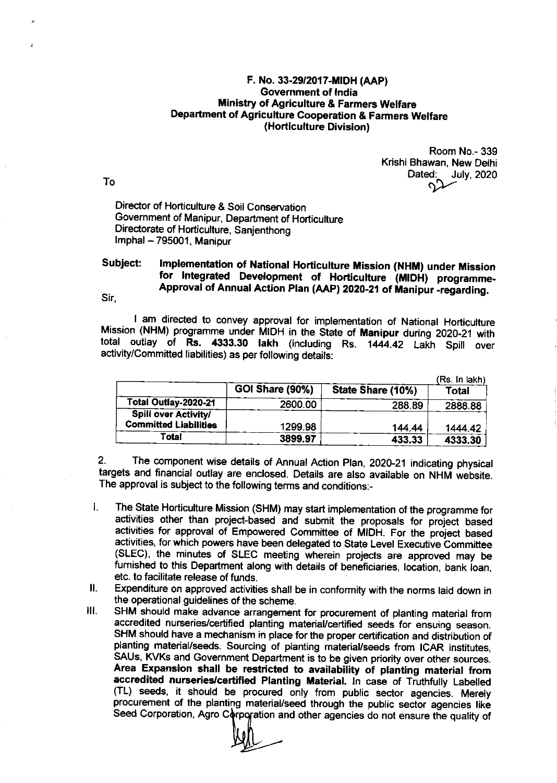## F. No. 33-29/2017-MiDH (AAp) Government of lndia Ministry of Agriculture & Farmers Welfare Department of Agriculture Cooperation & Farmers Welfare (Horticulture Division)

Room No.- 339 Krishi Bhawan, New Delhi  $\mathsf{D}$ ated: July, 2020<br> $\mathsf{D}$ 

Director of Horticulture & Soil Conservation Government of Manipur, Department of Horticulture Directorate of Horticulture, Sanjenthong Imphal - 795001, Manipur

## Subject: Sir, Implementation of National Horticulture Mission (NHM) under Mission for Integrated Development of Horticulture (MIDH) programme-Approval of Annual Action Plan (AAP) 2020-21 of Manipur -regarding.

I am directed to convey approval for implementation of National Horticulture<br>Mission (NHM) programme under MIDH in the State of Manipur during 2020-21 with total outlay of Rs. 4333.30 lakh (including Rs. 1444.42 Lakh Spill over activity/Committed liabilities) as per following details:

|                                                             | <b>GOI Share (90%)</b> | State Share (10%) | (Rs. In lakh)<br>Total |
|-------------------------------------------------------------|------------------------|-------------------|------------------------|
| Total Outlay-2020-21                                        | 2600.00                | 288.89            | 2888.88                |
| <b>Spill over Activity/</b><br><b>Committed Liabilities</b> | 1299.98                | 144.44            | 1444.42                |
| Total                                                       | 3899.97                | 433.33            | 4333.30                |

2. The component wise details of Annual Action Plan, 2020-21 indicating physical targets and financial outlay are enclosed. Details are also available on NHM website. The approval is subject to the following terms and conditions:-

- $\mathbf{I}$ . The state Horticulture Mission (sHM) may start implementation of the programme for activities other than project-based and submit the proposals for project based activities for approval of Empowered Committee of MIDH. For the project based activities, for which powers have been delegated to State Level Executive Committee (SLEC), the minutes of SLEC meeting wherein projects are approved may be furnished to this Department along with details of beneficiaries, location, bank loan, etc. to facilitate release of funds
- Expenditure on approved activities shall be in conformity with the norms laid down in  $II.$ the operational guidelines of the scheme.
- ilt SHM should make advance arrangement for procurement of planting material from accredited nurseries/certified planting material/certified seeds for ensuing season. SHM should have a mechanism in place for the proper certification and disfibution of planting material/seeds. Sourcing of planting material/seeds from ICAR institutes, SAUs, KVKs and Government Department is to be given priority over other sources. Area Expansion shall be restricted to availability of planting material from<br>accredited nurseries/certified Planting Material. In case of Truthfully Labelled (TL) seeds, it should be procured only from public sector agencies. Merely procurement of the planting material/seed through the public sector agencies like Seed Corporation, Agro Corporation and other agencies do not ensure the quality of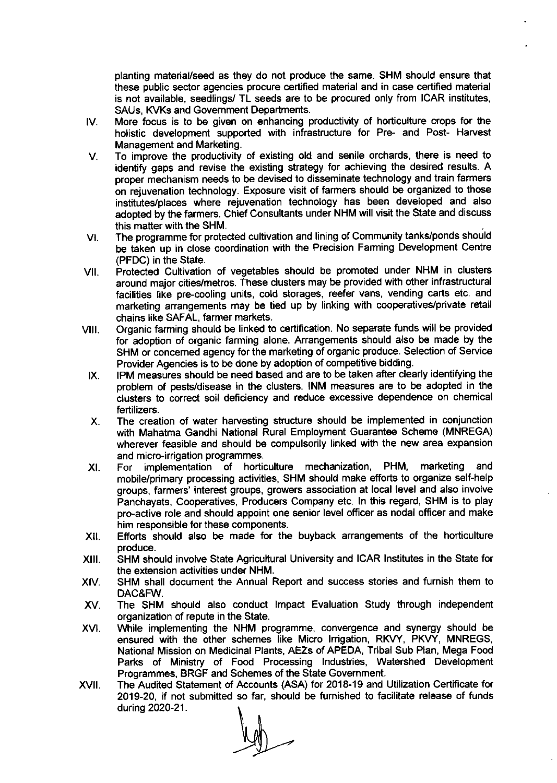planting material/seed as they do not produce the same. SHM should ensure that these public sector agencies procure certified material and in case certified material is not available, seedlings/ TL seeds are to be procured only from ICAR institutes, SAUs, KVKs and Government Departments.

- IV More focus is to be given on enhancing productivity of horliculture crops for the holistic development supported with infrastructure for Pre- and Post- Harvest Management and Marketing.
- To improve the productivity of existing old and senile orchards, there is need to  $\mathsf{V}$ . identify gaps and revise the existing strategy for achieving the desired results. A proper mechanism needs to be devised to disseminate technology and train farmers on rejuvenation technology. Exposure visit of farmers should be organized to those institutes/places where rejuvenation technology has been developed and also adopted by the farmers. Chief Consultants under NHM will visit the State and discuss this matter with the SHM.
- The programme for protected cultivation and lining of Community tanks/ponds should be taken up in close coordination with the Precision Farming Development Centre (PFDC) in the State. VI
- Protected Cultivation of vegetables should be promoted under NHM in clusters around major cities/metros. These clusters may be provided with other infrastructural facilities like pre-cooling units, cold storages, reefer vans, vending carts etc. and marketing arrangements may be tied up by linking with cooperatives/private retail chains like SAFAL, farmer markets. VII.
- Organic farming should be linked to certification. No separate funds will be provided for adoption of organic farming alone. Arrangements should also be made by the SHM or concerned agency for the marketing of organic produce. Selection of Service Provider Agencies is to be done by adoption of competitive bidding. vlll
- IPM measures should be need based and are to be taken affer clearly identifying the problem of pests/disease in the clusters. INM measures are to be adopted in the clusters to correct soil deficiency and reduce excessive dependence on chemical fertilizers. IX.
- The creation of water harvesting structure should be implemented in conjunction with Mahatma Gandhi National Rural Employment Guarantee Scheme (MNREGA) wherever feasible and should be compulsorily linked with the new area expansion and micro-irrigation programmes. x
- For implementation of horticulture mechanization, PHM, marketing and mobile/primary processing activities, SHM should make efforts to organize self-help groups, farmers' interest groups, growers association at local level and also involve Panchayats, Cooperatives, Producers Company etc. ln this regard, SHM is to play pro-active role and should appoint one senior level officer as nodal officer and make him responsible for these components. XI.
- Efforts should also be made for the buyback arrangements of the horticulture produce. xlt.
- SHM should involve State Agricultural University and ICAR lnstitutes in the State for the extension activities under NHM. xil.
- SHM shall document the Annual Report and success stories and furnish them to DAC&FW. xrv.
- The SHM should also conduct lmpact Evaluation Study through independent organization of repute in the State. xv.
- While implementing the NHM programme, convergence and synergy should be ensured with the other schemes like Micro Irrigation, RKVY, PKVY, MNREGS, National Mission on Medicinal Plants, AEZS of APEDA, Tribal Sub Plan, Mega Food Parks of Ministry of Food Processing lndustries, Watershed Development Programmes, BRGF and Schemes of the State Government. xvl.
- The Audited Statement of Accounts (ASA) for 201&.19 and Utilization Certificate for 2019-20, if not submitted so far, should be fumished to facilitate release of funds xvI during 2020-21.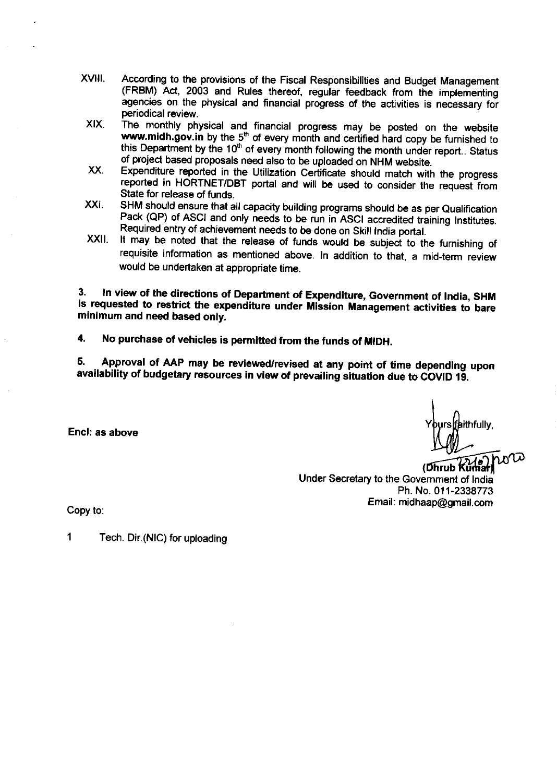- xvlil. According to the provisions of the Fiscal Responsibilities and Budget Management (FRBM) Act, 2003 and Rules thereof, regular feedback from the implementing agencies on the physical and financial progress of the activities is necessary for periodical review.
- $XIX$ The monthly physical and financial progress may be posted on the website www.midh.gov.in by the  $5<sup>th</sup>$  of every month and certified hard copy be furnished to this Department by the 10<sup>th</sup> of every month following the month under report.. Status of project based proposals need also to be uploaded on NHM website.
- xx Expenditure reported in the utilization certificate should match with the progress reported in HORTNET/DBT portal and will be used to consider the request from State for release of funds.
- XXI. SHM should ensure that all capacity building programs should be as per Qualification Pack (QP) of ASCI and only needs to be run in ASCI accredited training Institutes. Required entry of achievement needs to be done on Skill lndia portal.
- xxil. It may be noted that the release of funds would be subject to the furnishing of requisite information as mentioned above. In addition to that, a mid-term review would be undertaken at appropriate time.

3. In view of the directions of Department of Expenditure, Government of India, SHM is requested to restrict the expenditure under Mission Management activities to bare minimum and need based only.

4. No purchase of vehicles is permitted from the funds of MIDH.

5. .. 5. Approval of AAP may be reviewed/revised at any point of time depending upon<br>availability of budgetary resources in view of prevailing situation due to COVID 19.

Encl: as above

lfaithfully.

rub Under Secretary to the Government of lndia Ph. No.011-2338773 Email: midhaap@gmail.com , (

Copy to:

1 Tech. Dir. (NIC) for uploading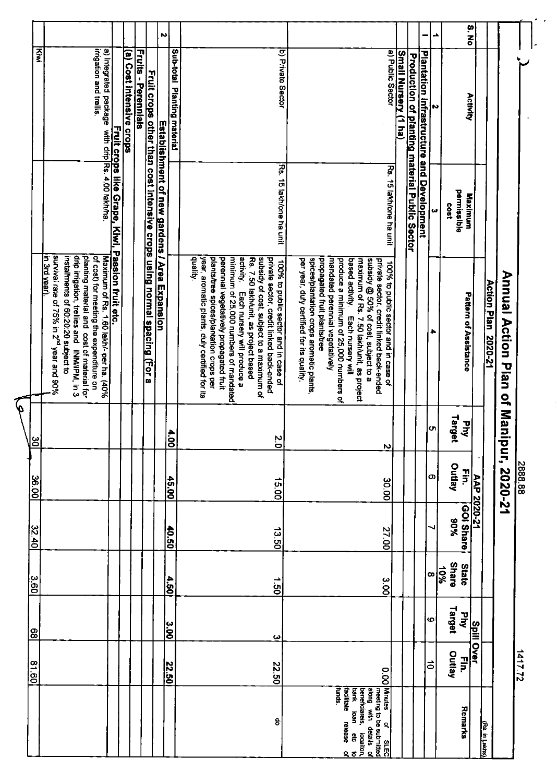|             |                                                                                                                                                                                                                                                      |                          |                            |                                                                         | N                                             |                             |                                                                                                                                                                                                                                                                                                                                                                                                              |                                                                                                                                                                                                                                                                                                                                                                                                                   |                                          |                                                      |                                           | ک         | S. No                                   |                            |                         |         |
|-------------|------------------------------------------------------------------------------------------------------------------------------------------------------------------------------------------------------------------------------------------------------|--------------------------|----------------------------|-------------------------------------------------------------------------|-----------------------------------------------|-----------------------------|--------------------------------------------------------------------------------------------------------------------------------------------------------------------------------------------------------------------------------------------------------------------------------------------------------------------------------------------------------------------------------------------------------------|-------------------------------------------------------------------------------------------------------------------------------------------------------------------------------------------------------------------------------------------------------------------------------------------------------------------------------------------------------------------------------------------------------------------|------------------------------------------|------------------------------------------------------|-------------------------------------------|-----------|-----------------------------------------|----------------------------|-------------------------|---------|
| Ķwi         | irrigation and trellis.<br>a) Integrated package                                                                                                                                                                                                     | (a) Cost intensive crops | <b>Fruits - Perennials</b> |                                                                         |                                               | Sub-total Planting material | b) Private Sector                                                                                                                                                                                                                                                                                                                                                                                            |                                                                                                                                                                                                                                                                                                                                                                                                                   | Small Nursery (1 ha)<br>a) Public Sector | <b>Production of planting material Public Sector</b> | Plantation Infrastructure and Development | N         | Activity                                |                            |                         |         |
|             |                                                                                                                                                                                                                                                      |                          |                            |                                                                         | Establishment of new gardens / Area Expansion |                             | R\$.<br>15 lakh/one ha unit                                                                                                                                                                                                                                                                                                                                                                                  | Rs. 15 lakh/one ha unit                                                                                                                                                                                                                                                                                                                                                                                           |                                          |                                                      |                                           | دە        | permissible<br>Maximum<br>1803          |                            |                         |         |
|             | survival rate of 75% in 2 <sup>nd</sup> year and 90%<br>drip irrigation, trellies and INM/IPM, in 3<br>planting material and cost of material for<br>in 3rd year).<br>installments of 60:20:20 subject to<br>of cost) for meeting the expenditure on |                          |                            | Fruit crops other than cost intensive crops using normal spacing (For a |                                               |                             | quality.<br>plants/tree spices/plantation crops per<br>minimum of 25,000 numbers of mandated<br>activity.<br>year, aromatic plants, duly certified for its<br>perennial vegetatively propagated fruit<br>subsidy of cost, subject to a maximum of<br>private sector, credit linked back-ended<br>Rs. 7.50 lakh/unit, as project based<br>100% to public sector and in case of<br>Each nursery will produce a | spices/plantation crops aromatic plants<br>per year, duly certified for its quality.<br>propagated fruit plants/tree<br>produce a minimum of 25,000 numbers of<br>subsidy @ 50% of cost, subject to a<br>private sector, credit linked back-ended<br>mandated perennial vegetatively<br>based activity.<br>maximum of Rs. 7.50 lakh/unit, as project<br>100% to public sector and in case of<br>Each nursery will |                                          |                                                      |                                           | ٠         | Pattern of Assistance                   | <b>Action Plan 2020-21</b> | Anual Action Plan of Ma |         |
| မ           |                                                                                                                                                                                                                                                      |                          |                            |                                                                         |                                               | $\frac{4.00}{5}$            | $\overline{0}$                                                                                                                                                                                                                                                                                                                                                                                               | N                                                                                                                                                                                                                                                                                                                                                                                                                 |                                          |                                                      |                                           | ŲΊ,       | Target<br>$\overline{\mathbf{v}}$<br>ड् |                            |                         |         |
| 36.00       |                                                                                                                                                                                                                                                      |                          |                            |                                                                         |                                               | 45.00                       | 15.00                                                                                                                                                                                                                                                                                                                                                                                                        | 30.00                                                                                                                                                                                                                                                                                                                                                                                                             |                                          |                                                      |                                           | O)        | Outlay<br>En.                           | AAP 2020-21                | nipur, 2020-21          | 2888.88 |
| 32.40       |                                                                                                                                                                                                                                                      |                          |                            |                                                                         |                                               | $-0.50$                     | 13.50                                                                                                                                                                                                                                                                                                                                                                                                        | 27.00                                                                                                                                                                                                                                                                                                                                                                                                             |                                          |                                                      |                                           |           | GOI Share<br>%06                        |                            |                         |         |
| $rac{c}{c}$ |                                                                                                                                                                                                                                                      |                          |                            |                                                                         |                                               | 4.50                        | $\vec{e}$                                                                                                                                                                                                                                                                                                                                                                                                    | 3.00                                                                                                                                                                                                                                                                                                                                                                                                              |                                          |                                                      |                                           | œ         | Share<br>State<br>10%                   |                            |                         |         |
| န္တ         |                                                                                                                                                                                                                                                      |                          |                            |                                                                         | $\overline{3.00}$                             |                             | ω                                                                                                                                                                                                                                                                                                                                                                                                            |                                                                                                                                                                                                                                                                                                                                                                                                                   |                                          |                                                      |                                           | ဖ         | Target<br>ਟ੍ਰੋ<br><b>Spill Over</b>     |                            |                         |         |
| 81.60       |                                                                                                                                                                                                                                                      |                          |                            |                                                                         | 22.50                                         |                             | 22.50                                                                                                                                                                                                                                                                                                                                                                                                        | 0.00                                                                                                                                                                                                                                                                                                                                                                                                              |                                          |                                                      |                                           | $\vec{0}$ | Outlay<br>Ë                             |                            |                         | 1417.72 |
|             |                                                                                                                                                                                                                                                      |                          |                            |                                                                         |                                               |                             | 8                                                                                                                                                                                                                                                                                                                                                                                                            | Minutes<br>facilitate<br>funds.<br>along with<br>bank<br>beneficiareis<br>meeting to be submitted<br><b>Dann</b><br>release<br>$\mathbf{Q}$<br>details<br>localiton,<br>ក្តិ<br><b>SLEC</b><br>$\overline{a}$<br>$\Omega$ ភ                                                                                                                                                                                       |                                          |                                                      |                                           |           | Remarks                                 | Rs. in Lakhs)              |                         |         |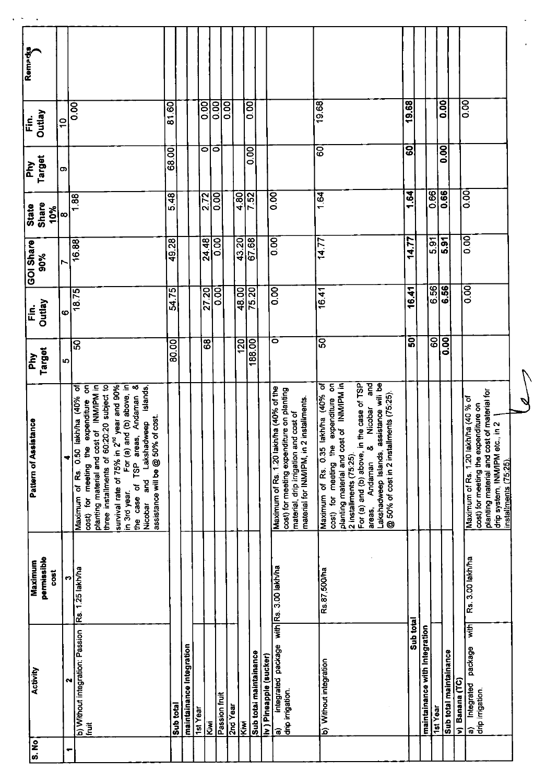| 0.00<br>0.00<br>19.68<br>19.68<br>0.00<br>$\overline{0.00}$<br>0.00<br>0.00<br>89<br>0.00<br>ౚ<br>$\frac{1}{2}$<br>$\overline{8}$<br>0.00<br>$\overline{8}$<br>$\overline{\bullet}$<br>$\circ$<br>0.00<br>68.00<br>O)<br>0.66<br>0.66<br>$\overline{0}$<br>1.64<br>1.64<br>0.00<br>0.00<br>4.80<br>5.48<br>2.72<br>7.52<br>1.88<br>10%<br>$\infty$<br>0.00<br>5.91<br>$\frac{1}{6}$<br>43.20<br>67.68<br>$\overline{0.00}$<br>14.77<br>24.48<br>0.00<br>14.77<br>49.28<br>16.88<br>6.56<br>6.56<br>$\overline{0}$<br>0.00<br>48.00<br>75.20<br>16.41<br>27.20<br>16.41<br>54.75<br>OO O<br>18.75<br>Ø<br>50<br>60<br>0.00<br>ō<br>င္တြ<br>68<br>120<br>188.00<br>80.00<br>$\overline{\mathbf{S}}$<br>Ю<br>$\overline{\epsilon}$<br>For (a) and (b) above, in the case of TSP<br>$\frac{1}{2}$<br>Maximum of Rs. 0.35 lakh/ha (40% of<br>expenditure on<br>st of INM/IPM in<br>Lakshadweep Islands, assistance will be<br>For (a) and (b) above, in<br>survival rate of 75% in 2 <sup>nd</sup> year and 90%<br>$\overline{\mathbf{z}}$<br>đ<br>planting material and cost of INM/PM in<br>three installments of 60:20:20 subject to<br>expenditure on<br>Islands,<br>Maximum of Rs. 1.20 lakh/ha (40% of the<br>cost) for meeting expenditure on planting<br>of material for<br>@ 50% of cost in 2 installments (75:25)<br>Andaman<br>Maximum of Rs. 0.50 lakh/ha (40%<br>installments.<br>Maximum of Rs. 1.20 lakh/ha (40 % of<br>cost) for meeting the expenditure on<br>Nicobar<br>material, drip irrigation and cost of<br>assistance will be @ 50% of cost.<br>Lakshadweep<br>drip system, INM/IPM etc., in 2<br>the case of TSP areas<br>planting material and cost<br>planting material and cost<br>material for INM/IPM, in 2<br>cost) for meeting the<br>cost) for meeting the<br>۰ŏ<br>2 installments (75:25).<br>÷<br>Andaman<br>Nicobar and<br>in 3rd year.<br>areas,<br>Rs. 3.00 lakh/ha<br>integrated package with Rs. 3.00 lakh/ha<br>b) Without integration: Passion Rs. 1.25 lakh/ha<br>Rs.87,500/ha<br>cost<br>m<br>Sub total<br>with<br>maintainance with Integration<br>maintainance Integration<br>package<br>Sub total maintainance<br>Sub total maintainance<br>iv) Pineapple (sucker)<br>b) Without integration<br>N<br>v) Banana (TC)<br>a) Integrated<br>drip irrigation.<br>Passion fruit | Activity         | Maximum     | <b>Pattern of Assistance</b> | $\overline{P}$ | Fin.   | GOI Share | State | र्नुह<br>वि | Outlay<br>Ë. | Remarks |
|---------------------------------------------------------------------------------------------------------------------------------------------------------------------------------------------------------------------------------------------------------------------------------------------------------------------------------------------------------------------------------------------------------------------------------------------------------------------------------------------------------------------------------------------------------------------------------------------------------------------------------------------------------------------------------------------------------------------------------------------------------------------------------------------------------------------------------------------------------------------------------------------------------------------------------------------------------------------------------------------------------------------------------------------------------------------------------------------------------------------------------------------------------------------------------------------------------------------------------------------------------------------------------------------------------------------------------------------------------------------------------------------------------------------------------------------------------------------------------------------------------------------------------------------------------------------------------------------------------------------------------------------------------------------------------------------------------------------------------------------------------------------------------------------------------------------------------------------------------------------------------------------------------------------------------------------------------------------------------------------------------------------------------------------------------------------------------------------------------------------------------------------------------------------------------------------------------------------------------------------------------------------------------------------------------------------|------------------|-------------|------------------------------|----------------|--------|-----------|-------|-------------|--------------|---------|
|                                                                                                                                                                                                                                                                                                                                                                                                                                                                                                                                                                                                                                                                                                                                                                                                                                                                                                                                                                                                                                                                                                                                                                                                                                                                                                                                                                                                                                                                                                                                                                                                                                                                                                                                                                                                                                                                                                                                                                                                                                                                                                                                                                                                                                                                                                                     |                  | permissible |                              | Target         | Outlay | 90%       | Share | Target      |              |         |
|                                                                                                                                                                                                                                                                                                                                                                                                                                                                                                                                                                                                                                                                                                                                                                                                                                                                                                                                                                                                                                                                                                                                                                                                                                                                                                                                                                                                                                                                                                                                                                                                                                                                                                                                                                                                                                                                                                                                                                                                                                                                                                                                                                                                                                                                                                                     |                  |             |                              |                |        |           |       |             |              |         |
|                                                                                                                                                                                                                                                                                                                                                                                                                                                                                                                                                                                                                                                                                                                                                                                                                                                                                                                                                                                                                                                                                                                                                                                                                                                                                                                                                                                                                                                                                                                                                                                                                                                                                                                                                                                                                                                                                                                                                                                                                                                                                                                                                                                                                                                                                                                     |                  |             |                              |                |        |           |       |             |              |         |
|                                                                                                                                                                                                                                                                                                                                                                                                                                                                                                                                                                                                                                                                                                                                                                                                                                                                                                                                                                                                                                                                                                                                                                                                                                                                                                                                                                                                                                                                                                                                                                                                                                                                                                                                                                                                                                                                                                                                                                                                                                                                                                                                                                                                                                                                                                                     |                  |             |                              |                |        |           |       |             |              |         |
|                                                                                                                                                                                                                                                                                                                                                                                                                                                                                                                                                                                                                                                                                                                                                                                                                                                                                                                                                                                                                                                                                                                                                                                                                                                                                                                                                                                                                                                                                                                                                                                                                                                                                                                                                                                                                                                                                                                                                                                                                                                                                                                                                                                                                                                                                                                     |                  |             |                              |                |        |           |       |             |              |         |
|                                                                                                                                                                                                                                                                                                                                                                                                                                                                                                                                                                                                                                                                                                                                                                                                                                                                                                                                                                                                                                                                                                                                                                                                                                                                                                                                                                                                                                                                                                                                                                                                                                                                                                                                                                                                                                                                                                                                                                                                                                                                                                                                                                                                                                                                                                                     |                  |             |                              |                |        |           |       |             |              |         |
|                                                                                                                                                                                                                                                                                                                                                                                                                                                                                                                                                                                                                                                                                                                                                                                                                                                                                                                                                                                                                                                                                                                                                                                                                                                                                                                                                                                                                                                                                                                                                                                                                                                                                                                                                                                                                                                                                                                                                                                                                                                                                                                                                                                                                                                                                                                     |                  |             |                              |                |        |           |       |             |              |         |
|                                                                                                                                                                                                                                                                                                                                                                                                                                                                                                                                                                                                                                                                                                                                                                                                                                                                                                                                                                                                                                                                                                                                                                                                                                                                                                                                                                                                                                                                                                                                                                                                                                                                                                                                                                                                                                                                                                                                                                                                                                                                                                                                                                                                                                                                                                                     |                  |             |                              |                |        |           |       |             |              |         |
|                                                                                                                                                                                                                                                                                                                                                                                                                                                                                                                                                                                                                                                                                                                                                                                                                                                                                                                                                                                                                                                                                                                                                                                                                                                                                                                                                                                                                                                                                                                                                                                                                                                                                                                                                                                                                                                                                                                                                                                                                                                                                                                                                                                                                                                                                                                     |                  |             |                              |                |        |           |       |             |              |         |
|                                                                                                                                                                                                                                                                                                                                                                                                                                                                                                                                                                                                                                                                                                                                                                                                                                                                                                                                                                                                                                                                                                                                                                                                                                                                                                                                                                                                                                                                                                                                                                                                                                                                                                                                                                                                                                                                                                                                                                                                                                                                                                                                                                                                                                                                                                                     |                  |             |                              |                |        |           |       |             |              |         |
|                                                                                                                                                                                                                                                                                                                                                                                                                                                                                                                                                                                                                                                                                                                                                                                                                                                                                                                                                                                                                                                                                                                                                                                                                                                                                                                                                                                                                                                                                                                                                                                                                                                                                                                                                                                                                                                                                                                                                                                                                                                                                                                                                                                                                                                                                                                     |                  |             |                              |                |        |           |       |             |              |         |
|                                                                                                                                                                                                                                                                                                                                                                                                                                                                                                                                                                                                                                                                                                                                                                                                                                                                                                                                                                                                                                                                                                                                                                                                                                                                                                                                                                                                                                                                                                                                                                                                                                                                                                                                                                                                                                                                                                                                                                                                                                                                                                                                                                                                                                                                                                                     |                  |             |                              |                |        |           |       |             |              |         |
|                                                                                                                                                                                                                                                                                                                                                                                                                                                                                                                                                                                                                                                                                                                                                                                                                                                                                                                                                                                                                                                                                                                                                                                                                                                                                                                                                                                                                                                                                                                                                                                                                                                                                                                                                                                                                                                                                                                                                                                                                                                                                                                                                                                                                                                                                                                     | drip irrigation. |             |                              |                |        |           |       |             |              |         |
|                                                                                                                                                                                                                                                                                                                                                                                                                                                                                                                                                                                                                                                                                                                                                                                                                                                                                                                                                                                                                                                                                                                                                                                                                                                                                                                                                                                                                                                                                                                                                                                                                                                                                                                                                                                                                                                                                                                                                                                                                                                                                                                                                                                                                                                                                                                     |                  |             |                              |                |        |           |       |             |              |         |
|                                                                                                                                                                                                                                                                                                                                                                                                                                                                                                                                                                                                                                                                                                                                                                                                                                                                                                                                                                                                                                                                                                                                                                                                                                                                                                                                                                                                                                                                                                                                                                                                                                                                                                                                                                                                                                                                                                                                                                                                                                                                                                                                                                                                                                                                                                                     |                  |             |                              |                |        |           |       |             |              |         |
|                                                                                                                                                                                                                                                                                                                                                                                                                                                                                                                                                                                                                                                                                                                                                                                                                                                                                                                                                                                                                                                                                                                                                                                                                                                                                                                                                                                                                                                                                                                                                                                                                                                                                                                                                                                                                                                                                                                                                                                                                                                                                                                                                                                                                                                                                                                     |                  |             |                              |                |        |           |       |             |              |         |
|                                                                                                                                                                                                                                                                                                                                                                                                                                                                                                                                                                                                                                                                                                                                                                                                                                                                                                                                                                                                                                                                                                                                                                                                                                                                                                                                                                                                                                                                                                                                                                                                                                                                                                                                                                                                                                                                                                                                                                                                                                                                                                                                                                                                                                                                                                                     |                  |             |                              |                |        |           |       |             |              |         |
|                                                                                                                                                                                                                                                                                                                                                                                                                                                                                                                                                                                                                                                                                                                                                                                                                                                                                                                                                                                                                                                                                                                                                                                                                                                                                                                                                                                                                                                                                                                                                                                                                                                                                                                                                                                                                                                                                                                                                                                                                                                                                                                                                                                                                                                                                                                     |                  |             |                              |                |        |           |       |             |              |         |
|                                                                                                                                                                                                                                                                                                                                                                                                                                                                                                                                                                                                                                                                                                                                                                                                                                                                                                                                                                                                                                                                                                                                                                                                                                                                                                                                                                                                                                                                                                                                                                                                                                                                                                                                                                                                                                                                                                                                                                                                                                                                                                                                                                                                                                                                                                                     |                  |             |                              |                |        |           |       |             |              |         |
|                                                                                                                                                                                                                                                                                                                                                                                                                                                                                                                                                                                                                                                                                                                                                                                                                                                                                                                                                                                                                                                                                                                                                                                                                                                                                                                                                                                                                                                                                                                                                                                                                                                                                                                                                                                                                                                                                                                                                                                                                                                                                                                                                                                                                                                                                                                     |                  |             | installments (75:25).        |                |        |           |       |             |              |         |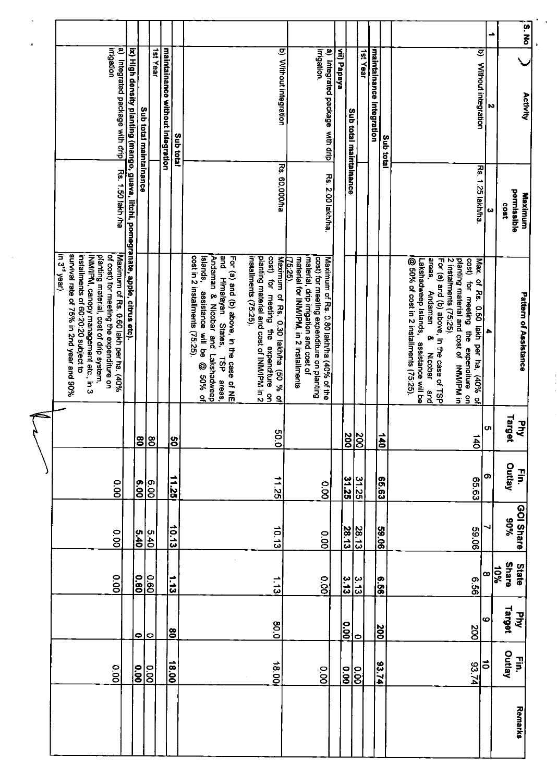|                                                                                                                                                                                                                                                                                      |                                                                                   |                        |                     |                                  |                   |                                                                                                                                                                                                      |                                                                                                                                                                                               |                                                                                                                                                                                            |             |                                     |           |                          |                 |                                                                                                                                                                                                                                                                                                                                                                | د             | S. No                                     |
|--------------------------------------------------------------------------------------------------------------------------------------------------------------------------------------------------------------------------------------------------------------------------------------|-----------------------------------------------------------------------------------|------------------------|---------------------|----------------------------------|-------------------|------------------------------------------------------------------------------------------------------------------------------------------------------------------------------------------------------|-----------------------------------------------------------------------------------------------------------------------------------------------------------------------------------------------|--------------------------------------------------------------------------------------------------------------------------------------------------------------------------------------------|-------------|-------------------------------------|-----------|--------------------------|-----------------|----------------------------------------------------------------------------------------------------------------------------------------------------------------------------------------------------------------------------------------------------------------------------------------------------------------------------------------------------------------|---------------|-------------------------------------------|
| a) Integrated package with drip<br>Irrigation                                                                                                                                                                                                                                        | ix) High density planting (mango, guava, litchi, pomegranate, appie, citrus etc). | Sub total maintainance | 1st Year            | maintainance without Integration | <b>Sub</b> total  |                                                                                                                                                                                                      | b) Without integration                                                                                                                                                                        | a) Integrated package with drip<br>irrigation.                                                                                                                                             | vii) Papaya | Sub total maintainance              | 1st Year  | maintainance Integration | Sub total       | $\overline{\mathbf{a}}$<br>Without integration                                                                                                                                                                                                                                                                                                                 | N             | Activity                                  |
| Rs. 1.50 lakh /ha                                                                                                                                                                                                                                                                    |                                                                                   |                        |                     |                                  |                   |                                                                                                                                                                                                      | <b>Rs. 60,000/ha</b>                                                                                                                                                                          | Rs. 2.00 lakh/ha.                                                                                                                                                                          |             |                                     |           |                          |                 | Rs. 1.25 lakh/ha                                                                                                                                                                                                                                                                                                                                               | ω             | permissible<br>Maximum<br>1803            |
| survival rate of 75% in 2nd year and 90%<br>of cost) for meeting the expenditure on<br>in 3 <sup>rd</sup> year).<br>installments of 60:20:20 subject to<br>INM/IPM, canopy management etc., in 3<br>planting material, cost of drip system,<br>Maximum of Rs. 0.60 lakh per ha. (40% |                                                                                   |                        |                     |                                  |                   | and Himalayan States,<br>cost in 2 installments (75:25).<br>Andaman & Nicobar and Lakshadweep<br>Islands,<br>For (a) and (b) above in the case of NE<br>assistance will be @ 50% of<br>TSP<br>areas, | installments (75.25).<br>cost) for meeting the expenditure on<br>planting material and cost of INM/IPM in 2<br>cost) for meeting<br>Maximum of Rs. 0.30 lakh/ha (50 % of<br>まぁ<br>expenditure | material, drip irrigation and cost of<br>cost) for meeting expenditure on planting<br>Maximum of Rs. 0.80 lakh/ha (40% of the<br>material for INM/PM, in 2 installments<br><u>(75:25).</u> |             |                                     |           |                          |                 | @ 50% of cost in 2 installments (75:25).<br>areas,<br>For (a) and (b) above, in the case of TSP<br>planting material and cost of INM/IPM in<br>cost) for meeting the expenditure<br>Lakshadweep Islands,<br>2 installments (75:25).<br>Max. of Rs. 0.50 lakh per ha, (40% of<br>Andaman<br>œ<br>assistance will be<br>Nicobar<br>$rac{9}{2}$<br>$\overline{a}$ | ۰             | Pattern of Assistance                     |
|                                                                                                                                                                                                                                                                                      |                                                                                   | $\bf{8}$               | ခြ                  |                                  | $\overline{50}$   |                                                                                                                                                                                                      | <b>SO.O</b>                                                                                                                                                                                   |                                                                                                                                                                                            |             | $\frac{200}{200}$                   |           |                          | $\frac{140}{1}$ | $\overrightarrow{40}$                                                                                                                                                                                                                                                                                                                                          | <sub>cn</sub> | Tarq<br>$\vec{F}$<br>Get                  |
| 0.00                                                                                                                                                                                                                                                                                 |                                                                                   |                        | $\frac{6.00}{6.00}$ |                                  | 11.25             |                                                                                                                                                                                                      | 11.25                                                                                                                                                                                         | o.oo                                                                                                                                                                                       |             | 31.25                               | 31.25     |                          | <b>65.63</b>    | <b>65.63</b>                                                                                                                                                                                                                                                                                                                                                   | စ             | Outlay<br>Ę                               |
| 0.00                                                                                                                                                                                                                                                                                 |                                                                                   | 5.40                   | 5.40                |                                  | 10.13             |                                                                                                                                                                                                      | 10.13                                                                                                                                                                                         | O.OO                                                                                                                                                                                       |             | 28.13                               | 28.13     |                          | 59.06           | 90.05                                                                                                                                                                                                                                                                                                                                                          |               | GOI Share<br>%06                          |
| 0.00                                                                                                                                                                                                                                                                                 |                                                                                   |                        | <u>0.60</u><br>0.60 |                                  | $\frac{1.13}{1}$  |                                                                                                                                                                                                      | $\frac{1}{5}$                                                                                                                                                                                 | 0.00                                                                                                                                                                                       |             | $\frac{3.13}{2}$                    | 3.13      |                          | თ<br> ე<br> ე   | თ<br>99                                                                                                                                                                                                                                                                                                                                                        | œ             | <b>Share</b><br>State<br>$\frac{10\%}{2}$ |
|                                                                                                                                                                                                                                                                                      |                                                                                   | $\bullet$              | 10                  |                                  | ଞ                 |                                                                                                                                                                                                      | <b>80.0</b>                                                                                                                                                                                   |                                                                                                                                                                                            |             | $\overline{6}$                      | $\bullet$ |                          | $\frac{26}{10}$ | 200                                                                                                                                                                                                                                                                                                                                                            | ဖ             | Target<br><b>Jan</b>                      |
| 0.00                                                                                                                                                                                                                                                                                 |                                                                                   | $\frac{1}{200}$        |                     |                                  | $\frac{18.00}{1}$ |                                                                                                                                                                                                      | 18.00                                                                                                                                                                                         | 0.00                                                                                                                                                                                       |             | $\frac{ \mathbf{S} }{ \mathbf{S} }$ |           |                          | 93.74           | 93.74                                                                                                                                                                                                                                                                                                                                                          | $\vec{c}$     | Outlay<br>Ę                               |
|                                                                                                                                                                                                                                                                                      |                                                                                   |                        |                     |                                  |                   |                                                                                                                                                                                                      |                                                                                                                                                                                               |                                                                                                                                                                                            |             |                                     |           |                          |                 |                                                                                                                                                                                                                                                                                                                                                                |               | <b>Remarks</b>                            |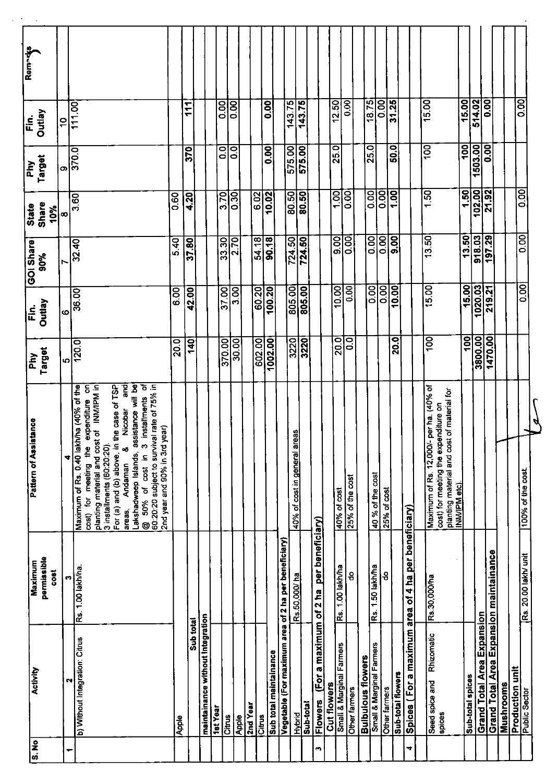| $\frac{1}{3}$ | Activity                                             | Maximum                                 | <b>Pattern of Assistance</b>                                                                                                                                                                                                                                                                                                                                                                                                                      | $\mathbf{F}$      | $\frac{c}{\overline{L}}$ | <b>GOI Share</b>         | State             | λή<br>Γ          | $\tilde{\bar{\mathbf{h}}}$ | Remades |
|---------------|------------------------------------------------------|-----------------------------------------|---------------------------------------------------------------------------------------------------------------------------------------------------------------------------------------------------------------------------------------------------------------------------------------------------------------------------------------------------------------------------------------------------------------------------------------------------|-------------------|--------------------------|--------------------------|-------------------|------------------|----------------------------|---------|
|               |                                                      | permissible<br>cost                     |                                                                                                                                                                                                                                                                                                                                                                                                                                                   | Target            | <b>Outlay</b>            | 90%                      | Share<br>10%      | Target           | Outlay                     |         |
|               |                                                      | M                                       | ₹                                                                                                                                                                                                                                                                                                                                                                                                                                                 |                   | Õ                        | r                        | œ                 | O)               | $\overline{10}$            |         |
| ┯             | N                                                    |                                         |                                                                                                                                                                                                                                                                                                                                                                                                                                                   | $\frac{5}{120.0}$ |                          | 32.40                    | 3.60              | 370.0            | 111.00                     |         |
|               | b) Without Integration: Citrus                       | Rs. 1.00 lakh/ha.                       | For (a) and (b) above, in the case of TSP<br>Lakshadweep Islands, assistance will be<br>@ 50% of cost in 3 Installments of 60.20 subject to survival rate of 75% in<br>Maximum of Rs. 0.40 lakh/ha (40% of the<br>cost) for meeting the expenditure on<br>planting material and cost of INM/IPM in<br>and<br>3 installments<br>Nicobar<br>2nd year and 90% in 3rd year)<br>3 installments (60:20:20).<br>$\infty$<br>cost in<br>Andaman<br>areas, |                   | 36.00                    |                          |                   |                  |                            |         |
|               | Apple                                                |                                         |                                                                                                                                                                                                                                                                                                                                                                                                                                                   | 20.0              | <b>8.00</b>              | 5.40                     | $\overline{0.60}$ |                  |                            |         |
|               | Sub total                                            |                                         |                                                                                                                                                                                                                                                                                                                                                                                                                                                   | $\overline{9}$    | 42.00                    | 37.80                    | 4.20              | 370              | $\mathbf{r}$               |         |
|               | maintainance without integration                     |                                         |                                                                                                                                                                                                                                                                                                                                                                                                                                                   |                   |                          |                          |                   |                  |                            |         |
|               | 1st Year                                             |                                         |                                                                                                                                                                                                                                                                                                                                                                                                                                                   |                   |                          |                          |                   |                  |                            |         |
|               | Citrus                                               |                                         |                                                                                                                                                                                                                                                                                                                                                                                                                                                   | 370.00            | 37.00                    | 33.30                    | 3.70              | o<br>O           | 0.00                       |         |
|               | Apple                                                |                                         |                                                                                                                                                                                                                                                                                                                                                                                                                                                   | 30.00             | 3.00                     | 2.70                     | 0.30              | $\overline{0}$   | 0.00                       |         |
|               | 2nd Year                                             |                                         |                                                                                                                                                                                                                                                                                                                                                                                                                                                   |                   |                          |                          | 6.02              |                  |                            |         |
|               | Citrus                                               |                                         |                                                                                                                                                                                                                                                                                                                                                                                                                                                   | 602.00            | 60.20                    | $\frac{54.18}{90.18}$    |                   |                  |                            |         |
|               | Sub total maintainance                               |                                         |                                                                                                                                                                                                                                                                                                                                                                                                                                                   | 1002.00           | 100.20                   |                          | 10.02             | $\overline{0}$   | 0.00                       |         |
|               | Vegetable (For maximum area of 2 ha per beneficiary) |                                         |                                                                                                                                                                                                                                                                                                                                                                                                                                                   |                   |                          |                          |                   |                  |                            |         |
|               | <b>Hybrid</b>                                        | Rs.50,000/ha                            | 40% of cost in general areas                                                                                                                                                                                                                                                                                                                                                                                                                      | 3220              | 805.00                   | 724.50                   | 80.50             | 575.00           | $\overline{143.75}$        |         |
|               | Sub-total                                            |                                         |                                                                                                                                                                                                                                                                                                                                                                                                                                                   | 3220              | 805.00                   | 724.50                   | 80.50             | 575.00           | 143.75                     |         |
|               | <b>Flowers</b>                                       | (For a maximum of 2 ha per beneficiary) |                                                                                                                                                                                                                                                                                                                                                                                                                                                   |                   |                          |                          |                   |                  |                            |         |
|               | Cut flowers                                          |                                         |                                                                                                                                                                                                                                                                                                                                                                                                                                                   |                   |                          |                          |                   |                  | 12.50                      |         |
|               | Small & Marginal Farmers                             | Rs. 1.00 lakh/ha                        | 40% of cost                                                                                                                                                                                                                                                                                                                                                                                                                                       | <b>20.0</b>       | 10.00                    | $\overline{50}$          | 100               | 25.0             |                            |         |
|               | Other farmers                                        | 음                                       | 25% of the cost                                                                                                                                                                                                                                                                                                                                                                                                                                   | ဒ္ဓ               | $\overline{6}$           | $\frac{0.00}{\sqrt{10}}$ | $\overline{0.00}$ |                  | 0.00                       |         |
|               | <b>Bulbulous</b> flowers                             |                                         |                                                                                                                                                                                                                                                                                                                                                                                                                                                   |                   |                          |                          |                   |                  | $\overline{18.75}$         |         |
|               | Small & Marginal Farmers                             | Rs. 1.50 lakh/ha                        | 40 % of the cost                                                                                                                                                                                                                                                                                                                                                                                                                                  |                   | $\frac{8}{100}$          | 0.OO                     | 0.00              | 25.0             | $\overline{0.00}$          |         |
|               | Other farmers                                        | ႙                                       | 25% of cost                                                                                                                                                                                                                                                                                                                                                                                                                                       |                   |                          | $\overline{0.00}$        | $\overline{0.00}$ |                  |                            |         |
|               | Sub-total flowers                                    |                                         |                                                                                                                                                                                                                                                                                                                                                                                                                                                   | 20.0              | 10.00                    | 9.00                     | 1.00              | 50.0             | 31.25                      |         |
| ÷             | Spices (For a maximum area of 4 ha per beneficiary)  |                                         |                                                                                                                                                                                                                                                                                                                                                                                                                                                   |                   |                          |                          |                   |                  |                            |         |
|               |                                                      |                                         |                                                                                                                                                                                                                                                                                                                                                                                                                                                   |                   |                          |                          |                   |                  | 15.00                      |         |
|               | Rhizomatic<br>Seed spice and<br>spices               | Rs.30,000/ha                            | Maximum of Rs. 12,000/- per ha. (40% of<br>planting material and cost of material for<br>INMIPM etc).<br>cost) for meeting the expenditure on                                                                                                                                                                                                                                                                                                     | $\overline{100}$  | 15.00                    | 13.50                    | 1.50              | 100              |                            |         |
|               | Sub-total spices                                     |                                         |                                                                                                                                                                                                                                                                                                                                                                                                                                                   | $\overline{100}$  | 15.00                    | 13.50                    | 1.50              | $\overline{100}$ | 15.00                      |         |
|               | <b>Grand Total Area Expansion</b>                    |                                         |                                                                                                                                                                                                                                                                                                                                                                                                                                                   | 3800.00           | $\frac{1020.03}{5}$      | 918.03                   | 102.00            | 1503.00          | 514.02                     |         |
|               | <b>Grand Total Area Expansion maintainance</b>       |                                         |                                                                                                                                                                                                                                                                                                                                                                                                                                                   | 1470.00           | 219.21                   | $\overline{197.29}$      | $\frac{21.92}{ }$ | 0.00             | 0.00                       |         |
|               | Mushrooms                                            |                                         |                                                                                                                                                                                                                                                                                                                                                                                                                                                   |                   |                          |                          |                   |                  |                            |         |
|               | Production unit<br>Public Sector                     |                                         |                                                                                                                                                                                                                                                                                                                                                                                                                                                   |                   |                          |                          |                   |                  | 0.00                       |         |
|               |                                                      | Rs. 20.00 lakh/ unit                    | 100% of the cost.                                                                                                                                                                                                                                                                                                                                                                                                                                 |                   | $\overline{5}$           | 0.00                     | $\overline{0}$    |                  |                            |         |

q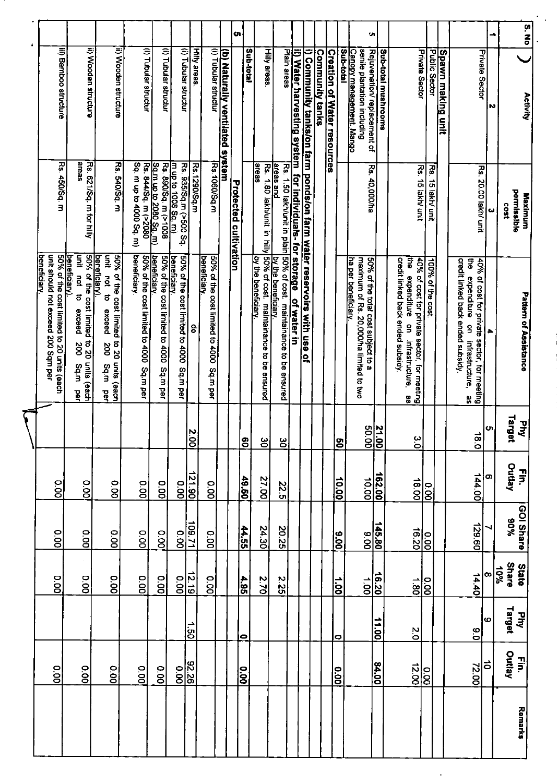|                        |            |                           |                   |                   |                  | <u>beneficiary.</u>                                                                                                                                                                  |                                                                       |                                                                                         | ŝ        |
|------------------------|------------|---------------------------|-------------------|-------------------|------------------|--------------------------------------------------------------------------------------------------------------------------------------------------------------------------------------|-----------------------------------------------------------------------|-----------------------------------------------------------------------------------------|----------|
|                        |            | o.oo                      | 0.00              | 0.00              |                  | unit should not exceed 200 Sqm per<br>50% of the cost limited to 20 units (each                                                                                                      | Rs. 450/Sq. m                                                         | iii) Bamboo structure                                                                   |          |
|                        |            | 0.00                      | 0.00              | O.OO              |                  | unit not to<br>50% of the cost limited<br>beneficiary).<br>exceed<br>ನ<br>ದಿ<br>ದಿ<br>units<br>Sq.m<br>(each<br>ዝ<br>ም                                                               | areas<br>Rs. 621/Sq. m for hilly                                      | ii) Wooden structure                                                                    |          |
|                        |            | o.oo                      | 00.00             | o.oo              |                  | lunit<br>50% of the cost limited to 20 units (each<br>beneficiary)<br><b>Dot</b><br>đ<br>exceed<br>200<br>Sq.m<br>$\overline{g}$                                                     | Rs. 540/Sq. m                                                         | ii) Wooden structure                                                                    |          |
|                        |            | 0.00                      | 0.00              | 0.00              |                  | beneficiary<br>50% of the cost limited to 4000 Sq.m per                                                                                                                              | Sq. m up to 4000 Sq. m)                                               | (i) Tubular structur                                                                    |          |
|                        |            | 0.00                      | 0.00              | o.oo              |                  | 50% of the cost limited to 4000<br><u>beneficiany</u><br>Sq.m per                                                                                                                    | Sg.m.up to 2080 Sg.m)<br>Rs. 844/Sq. m (>2080<br>Rs. 890/Sq. m (>1008 | (i) Tubular structur                                                                    |          |
| $\frac{5}{8}$          |            | 0.00                      | $\overline{00}$   | o.oo              |                  | 50% of the cost limited to 4000<br><b>beneficiary</b><br>Sq.m.per                                                                                                                    | m up to 1008 Sq. m)<br>Rs. 935/Sq.m (>500 Sq.                         | (i) Tubular structur                                                                    |          |
| $\overrightarrow{05}$  |            | $\frac{12.19}{ }$         | 109.71            | 121.90            | $\frac{2}{5}$    | 8                                                                                                                                                                                    | Rs. 1290/Sq.m                                                         | <b>Hilly areas</b>                                                                      |          |
|                        |            | $\overline{0.00}$         | 0.00              | o.o               |                  | 50% of the cost limited to 4000 Sq.m per<br>beneficiary.                                                                                                                             | Rs.1060/Sq.m                                                          | (i) Tubular structur                                                                    |          |
|                        |            |                           |                   |                   |                  |                                                                                                                                                                                      |                                                                       | (b) Naturally ventilated system                                                         |          |
|                        |            |                           |                   |                   |                  |                                                                                                                                                                                      | <b>Protected cultivation</b>                                          |                                                                                         | <b>o</b> |
| $\bullet$              |            | 4.95                      | 44.55             | 49.50             | ခြ               |                                                                                                                                                                                      |                                                                       | Sub-total                                                                               |          |
|                        |            | 2.70                      | 24.30             | 27.00             | မိ               | by the beneficiary                                                                                                                                                                   | areas                                                                 | Hilly areas                                                                             |          |
|                        |            | 2.25                      | 20.25             | 22.5              | မ္မ              | Rs. 1.50 lakhunit in plain 50% of cost. maintainance to be ensured<br><u>areas and the prime boneficiany.</u><br>Rs. 1.80 lakh/unit in hilly 50% of cost. maintainance to be ensured |                                                                       | Plain areas                                                                             |          |
|                        |            |                           |                   |                   |                  |                                                                                                                                                                                      |                                                                       | il) Water harvesting system for individuals-for storage of water in                     |          |
|                        |            |                           |                   |                   |                  |                                                                                                                                                                                      |                                                                       | i) Community tanks/on farm ponds/on farm water reservoirs with use of                   |          |
|                        |            |                           |                   |                   |                  |                                                                                                                                                                                      |                                                                       | Community tanks                                                                         |          |
|                        |            |                           |                   |                   |                  |                                                                                                                                                                                      |                                                                       | <b>Creation of Water resources</b>                                                      |          |
| 0                      |            | $\ddot{a}$                | $\overline{00.6}$ | 10.00             | <b>90</b>        |                                                                                                                                                                                      |                                                                       | Sub-total                                                                               |          |
|                        |            | $\ddot{0}$                | 8.00              | 10.00             |                  | 50% of the total cost subject to a<br>ha per beneficiary.<br>maximum of Rs. 20,000/ha limited to two                                                                                 | Rs. 40,000/ha                                                         | Canopy management. Mango<br>senile plantation including<br>Rejuvenation/ replacement of | <b>u</b> |
| 11.00<br>64.00         |            | 16.20                     | <u>145.80</u>     | <u>162.00</u>     | $\frac{25}{10}$  |                                                                                                                                                                                      |                                                                       | Sub-total mushrooms                                                                     |          |
| $\frac{2}{5}$<br>12.00 |            | 08 <sup>1</sup>           | 16.20             | 18.00             | $\frac{8}{10}$   | credit linked back ended subsidy.<br>Ş<br>40% of cost for private sector, for meeting<br>expenditure<br>$\overline{\mathbf{S}}$<br>infrastructure<br>86                              | Rs. 15 lakh/ unit                                                     | <b>Private Sector</b>                                                                   |          |
|                        |            | $\overline{0.00}$         | $\overline{0.00}$ | $\overline{0.00}$ |                  | 100% of the cost.                                                                                                                                                                    | Rs. 15 lakh/ unit                                                     | Public Sector                                                                           |          |
|                        |            |                           |                   |                   |                  |                                                                                                                                                                                      |                                                                       | Spawn making unit                                                                       |          |
| $0^{\circ}$<br>72.00   |            | 14.40                     | 129.60            | 144.00            | $\frac{1}{9}$    | credit linked back ended subsidy.<br>둥<br>40% of cost for private sector, for meeting<br>expenditure<br>$\frac{1}{2}$<br>infrastructure,<br>98                                       | Rs. 20.00 lakh/ unit                                                  | Private Sector                                                                          |          |
| $\vec{c}$              | ဖ          | $\infty$                  |                   | တ                 | lຫ               | ٠                                                                                                                                                                                    | ىئ                                                                    | N                                                                                       | ∸        |
| Outlay<br>$\mathbf{r}$ | Target     | Share<br>$\frac{10\%}{2}$ | %06               | Outlay            | Target           |                                                                                                                                                                                      | permissible<br>1803                                                   |                                                                                         |          |
|                        | <b>Phy</b> | <b>State</b>              | <b>GOI Share</b>  | FE.               | $\vec{\epsilon}$ | Pattern of Assistance                                                                                                                                                                | Maximum                                                               | <b>Activity</b>                                                                         | S. No    |

 $\bar{\mathcal{A}}$ 

 $\ddot{\phantom{a}}$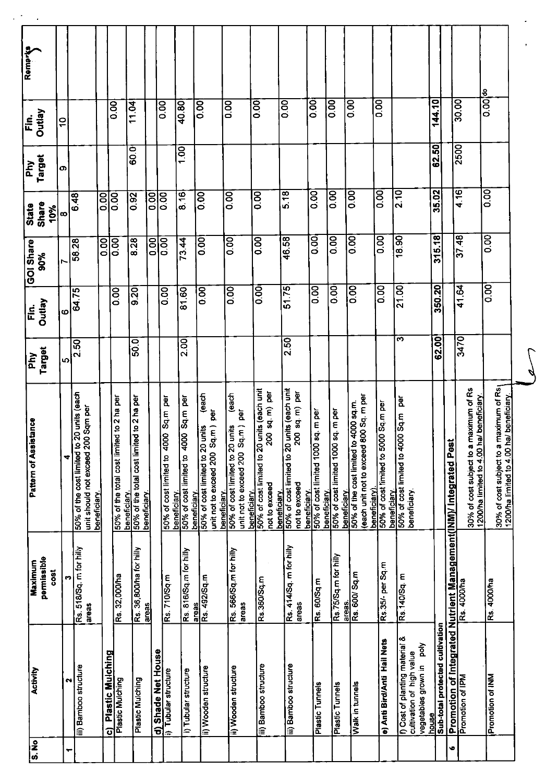| Remarks                    |                            |              |                                                                                 |                         |                                           |                                                                           |                    |                                      |                                                                      |                                                                             |                                                                                                              |                                                                               |                                                                                               |                                                                    |                                                    |                                                                                                    |                                                      |                                                                                         |                                                  |                                                                   |                                                                                    |                                                                                    |
|----------------------------|----------------------------|--------------|---------------------------------------------------------------------------------|-------------------------|-------------------------------------------|---------------------------------------------------------------------------|--------------------|--------------------------------------|----------------------------------------------------------------------|-----------------------------------------------------------------------------|--------------------------------------------------------------------------------------------------------------|-------------------------------------------------------------------------------|-----------------------------------------------------------------------------------------------|--------------------------------------------------------------------|----------------------------------------------------|----------------------------------------------------------------------------------------------------|------------------------------------------------------|-----------------------------------------------------------------------------------------|--------------------------------------------------|-------------------------------------------------------------------|------------------------------------------------------------------------------------|------------------------------------------------------------------------------------|
| VepnO<br>Ein.              |                            | $\mathbf{S}$ |                                                                                 |                         | $\overline{3}$                            | 11.04                                                                     |                    | 0.00                                 | 40.80                                                                | $\overline{0.00}$                                                           | oo.oo                                                                                                        | 0.00                                                                          | oo.o                                                                                          | oo.o                                                               | 0.00                                               | 0.00                                                                                               | $\overline{0.00}$                                    |                                                                                         | 144.10                                           |                                                                   | 30.00                                                                              | $0.001$ do                                                                         |
| Target<br>Phy              |                            | თ            |                                                                                 |                         |                                           | 600                                                                       |                    |                                      | 1.00                                                                 |                                                                             |                                                                                                              |                                                                               |                                                                                               |                                                                    |                                                    |                                                                                                    |                                                      |                                                                                         | 62.50                                            |                                                                   | 2500                                                                               |                                                                                    |
| Share<br>State             | 10%                        | œ            | 6.48                                                                            | $\overline{0.00}$       | $\overline{0.00}$                         | 0.92                                                                      | $rac{1}{2}$        | $\frac{1}{6}$                        | 8.16                                                                 | 0.00                                                                        | 0.00                                                                                                         | $\overline{\text{SO}}$                                                        | 5.18                                                                                          | loo<br>o                                                           | $\overline{0}$                                     | 0.00                                                                                               | 0.00                                                 | 2.10                                                                                    | 35.02                                            |                                                                   | 4.16                                                                               | 0.00                                                                               |
| <b>GOI Share</b><br>90%    |                            | Ņ            | 58.28                                                                           | 0.00                    | $\overline{000}$                          | 8.28                                                                      | 0.00               | 0.00                                 | 73.44                                                                | 0.00                                                                        | 0.00                                                                                                         | $\overline{0.00}$                                                             | 46.58                                                                                         | 0.00                                                               | 0.00                                               | $\overline{0.00}$                                                                                  | 0.00                                                 | 18.90                                                                                   | 315.18                                           |                                                                   | 37.48                                                                              | 0.00                                                                               |
| Fin.                       | <b>Outlay</b>              | O            | 64.75                                                                           |                         | 0.00                                      | $\frac{20}{9.20}$                                                         |                    | $\frac{8}{10}$                       | 81.60                                                                | 0.00                                                                        | 0.00                                                                                                         | 0.00                                                                          | 51.75                                                                                         | $\overline{0.00}$                                                  | $\frac{8}{2}$                                      | $\frac{8}{2}$                                                                                      | $\overline{0.00}$                                    | 21.00                                                                                   | 350.20                                           |                                                                   | 41.64                                                                              | 0.00                                                                               |
| $\sum_{i=1}^{n}$           | <b>Target</b>              | ιņ.          | $\overline{2.50}$                                                               |                         |                                           | <b>SO.</b>                                                                |                    |                                      | 2.00                                                                 |                                                                             |                                                                                                              |                                                                               | 2.50                                                                                          |                                                                    |                                                    |                                                                                                    |                                                      | ო                                                                                       | 62.00                                            |                                                                   | 3470                                                                               |                                                                                    |
| itance<br>Pattern of Assis |                            | 4            | 50% of the cost limited to 20 units (each<br>unit should not exceed 200 Sqm per | beneficiary.            | 50% of the total cost limited to 2 ha per | beneficiary.<br>50% of the total cost limited to 2 ha per<br>beneficiary. |                    | 50% of cost limited to 4000 Sq.m per | beneficiary.<br>50% of cost limited to 4000 Sq.m per<br>beneficiary. | each<br>unit not to exceed 200 Sq.m) per<br>50% of cost limited to 20 units | (each<br>unit not to exceed 200 Sq.m) per<br>beneficiary.<br>50% of cost limited to 20 units<br>beneficiary. | 50% of cost limited to 20 units (each unit<br>200 sq. m) per<br>not to exceed | beneficiary.<br>50% of cost limited to 20 units (each unit<br>200 sq. m) per<br>not to exceed | beneficiary.<br>50% of cost limited 1000 sq. m per<br>beneficiary. | 50% of cost limited 1000 sq. m per<br>beneficiary. | (each unit not to exceed 800 Sq. m per<br>4000 sq.m.<br>50% of the cost limited to<br>beneficiary) | 50% of cost limited to 5000 Sq.m per<br>beneficiary. | 50% of cost limited to 4000 Sq.m per<br>beneficiary.                                    |                                                  |                                                                   | 30% of cost subject to a maximum of Rs<br>1200/ha limited to 4.00 ha/ beneficiary. | 30% of cost subject to a maximum of Rs<br>1200/ha limited to 4.00 ha/ beneficiary. |
| Maximum                    | permissible<br><b>COST</b> |              | Rs. 518/Sq. m for hilly<br>areas                                                |                         | Rs. 32,000/ha                             | Rs. 36,800/ha for hilly<br>areas                                          |                    | Rs. 710/Sq m                         | Rs. 816/Sq.m for hilly<br>areas                                      | Rs. 492/Sq.m                                                                | Rs. 566/Sq.m for hilly<br>areas                                                                              | Rs.360/Sq.m                                                                   | Rs. 414/Sq. m for hilly<br>areas                                                              | Rs. 60/Sq.m                                                        | Rs.75/Sq.m for hilly<br>lareas.                    | Rs. 600/ Sq.m                                                                                      | Rs.35/- per Sq.m                                     | Rs.140/Sq.m                                                                             |                                                  |                                                                   | Rs. 4000/ha                                                                        | Rs. 4000/ha                                                                        |
| <b>Activity</b>            |                            | N            | iii) Bamboo structure                                                           | <b>Plastic Mulching</b> | C) Plastic Mul<br>Plastic Mulching        | Plastic Mulching                                                          | d) Shade Net House | <b>Tubular structure</b><br>l=       | i) Tubular structure                                                 | ii) Wooden structure                                                        | ii) Wooden structure                                                                                         | iii) Bamboo structure                                                         | iii) Bamboo structure                                                                         | Plastic Tunnels                                                    | Plastic Tunnels                                    | Walk in tunnels                                                                                    | e) Anti Bird/Anti Hail Nets                          | f) Cost of planting material &<br>vegetables grown in poly<br>cultivation of high value | Sub-total protected cultivation<br><b>Banoul</b> | Promotion of Integrated Nutrient Management(INM)/ Integrated Pest | Promotion of IPM                                                                   | Promotion of INM                                                                   |
| <u>၃</u><br> ဟ             |                            | ┯            |                                                                                 |                         |                                           |                                                                           |                    |                                      |                                                                      |                                                                             |                                                                                                              |                                                                               |                                                                                               |                                                                    |                                                    |                                                                                                    |                                                      |                                                                                         |                                                  | ِي                                                                |                                                                                    |                                                                                    |

l,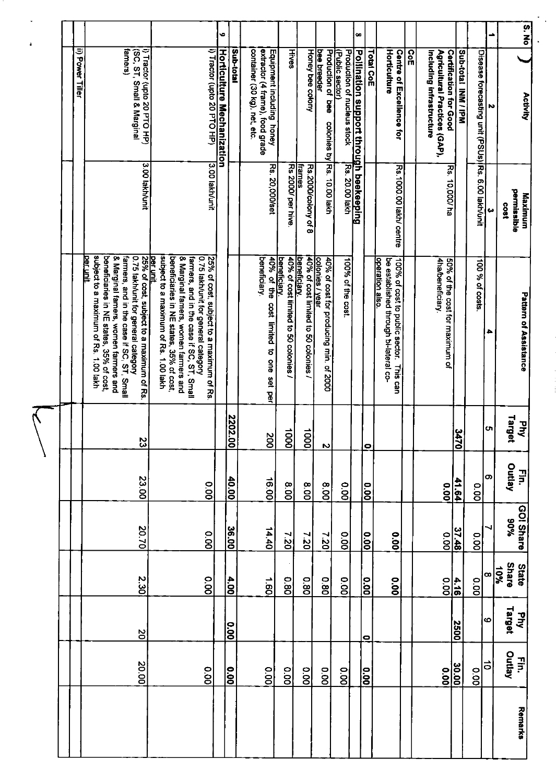|  |                  |                                                                                                                                                                                                                                                                                                 |                                                                                                                                                                                                                                                          |                             | o                                              |                                                                                              |                                                                  |                                                      |                                                           |                                                                     | œ                                      |                   |                                                                                                     |            |                                                           |                                                      |                                                    | ∸               | S. NQ                                               |
|--|------------------|-------------------------------------------------------------------------------------------------------------------------------------------------------------------------------------------------------------------------------------------------------------------------------------------------|----------------------------------------------------------------------------------------------------------------------------------------------------------------------------------------------------------------------------------------------------------|-----------------------------|------------------------------------------------|----------------------------------------------------------------------------------------------|------------------------------------------------------------------|------------------------------------------------------|-----------------------------------------------------------|---------------------------------------------------------------------|----------------------------------------|-------------------|-----------------------------------------------------------------------------------------------------|------------|-----------------------------------------------------------|------------------------------------------------------|----------------------------------------------------|-----------------|-----------------------------------------------------|
|  | ii) Power Tiller | famers)<br>i) Tractor (upto 20 PTO HP)<br>(SC, ST, Small & Marginal                                                                                                                                                                                                                             |                                                                                                                                                                                                                                                          | i) Tractor (upto 20 PTO HP) | Sub-total<br><u>Horticulture Mechanization</u> | container (30 kg), net, etc.<br>extractor (4 frame), food grade<br>Equipment including honey | <b>Hives</b>                                                     | Honey bee colony                                     | bee breeder                                               | (Public sector)<br>Production of bee<br>Production of nucleus stock | Pollination support through beekeeping | Total CoE         | Horticulture<br><b>Centre of Excellence for</b>                                                     | <u>ဂ္ဂ</u> | Including infrastructure<br>Agricultural Practices (GAP), | <b>Certification for Good</b><br>Sub-total INM / IPM | Disease forecasting unit (PSUs) Rs. 6.00 lakh/unit | N               | <b>Activity</b>                                     |
|  |                  | 3 00 lakh/unit                                                                                                                                                                                                                                                                                  |                                                                                                                                                                                                                                                          | 3.00 lakh/unit              |                                                | <b>Rs. 20,000/set</b>                                                                        | Rs 2000/per hive                                                 | frames<br>Rs.2000/colony of 8                        | colories by Rs. 10.00 lakh                                | <b>Rs. 20.00 lakh</b>                                               |                                        |                   | Rs. 1000.00 lakh/ centre                                                                            |            |                                                           | <b>Rs. 10,000/ha</b>                                 |                                                    | ω               | permissible<br>Maximum<br>1803                      |
|  |                  | subject to a maximum of Rs. 1.00 lakh<br>& Marginal famers, women farmers and<br>0.75 lakh/unit for general category<br><u>per unit</u><br>beneficiaries in NE states, 35% of cost,<br>farmers, and in the case if SC, ST, Small<br><u>per unit.</u><br>25% of cost, subject to a maximum of Rs | subject to a maximum of Rs. 1.00 lakh<br>0.75 lakh/unit for general category<br>& Marginal famers, women farmers and<br>beneficiaries in NE states, 35% of cost,<br>farmers, and in the case if SC, ST, Small<br>25% of cost, subject to a maximum of Rs |                             |                                                | beneficiary.<br>cost limited to one set per                                                  | beneficiary.<br>40% of the<br>40% of cost limited to 50 colonies | 40% of cost limited to 50 colonies /<br>beneficiary. | colonies / year<br>40% of cost for producing min. of 2000 | 100% of the cost.                                                   |                                        |                   | be established through bi-lateral co-<br>operation also.<br>100% of cost to public sector. This can |            | 4ha/beneficiary<br>50% of the cost for maximum of         |                                                      | 100 % of costs                                     | ٠               | Pattern of Assistance                               |
|  |                  | 23                                                                                                                                                                                                                                                                                              |                                                                                                                                                                                                                                                          |                             | <u>2202.00</u>                                 | 200                                                                                          | $\overrightarrow{000}$                                           | $\overline{5}$                                       | N                                                         |                                                                     |                                        | $\bullet$         |                                                                                                     |            |                                                           | $rac{1}{24}$                                         |                                                    | cn              | <b>Buel</b><br>$\overline{\mathsf{F}}$<br>ጁ         |
|  |                  | 23.00                                                                                                                                                                                                                                                                                           | 0.00                                                                                                                                                                                                                                                     |                             | 40.00                                          | 16.00                                                                                        | $\frac{8}{200}$                                                  | 8.00                                                 | 8.00                                                      | 0.00                                                                |                                        | 0.00              |                                                                                                     |            | <b>0.00</b>                                               | 41.64                                                | <b>0.00</b>                                        | တ               | Outlay<br>En:                                       |
|  |                  | 20.70                                                                                                                                                                                                                                                                                           | 0.00                                                                                                                                                                                                                                                     |                             | 36.00                                          | 14.40                                                                                        | 7.20                                                             | 7.20                                                 | 7.20                                                      | 0.00                                                                |                                        | $\overline{0.00}$ | 00.00                                                                                               |            | 0.00                                                      | 37.48                                                | 0.00                                               |                 | GOI Share<br>%06                                    |
|  |                  | 2.30                                                                                                                                                                                                                                                                                            | 0.00                                                                                                                                                                                                                                                     |                             | 4.00                                           | $\overrightarrow{09}$                                                                        | 08.0                                                             | 0.80                                                 | 08.0                                                      | O.OO                                                                |                                        | $\overline{0.00}$ | <b>0.00</b>                                                                                         |            |                                                           | $rac{10}{100}$                                       | 0.00                                               | $\infty$        | Share<br>State<br>$\frac{10\%}{\frac{1}{\sqrt{3}}}$ |
|  |                  | δ                                                                                                                                                                                                                                                                                               |                                                                                                                                                                                                                                                          |                             | $\overline{0.00}$                              |                                                                                              |                                                                  |                                                      |                                                           |                                                                     |                                        | 0                 |                                                                                                     |            |                                                           | <b>2500</b>                                          |                                                    | O               | Target<br><b>Aud</b>                                |
|  |                  | 20.00                                                                                                                                                                                                                                                                                           | $\overline{0.00}$                                                                                                                                                                                                                                        |                             | $\overline{8}$                                 | $\overline{50}$                                                                              | O.OO                                                             | $\overline{00}$                                      | oo                                                        | $\overline{0.00}$                                                   |                                        | le<br> a          |                                                                                                     |            |                                                           | $rac{1}{2}$                                          | o.oo                                               | $\vec{\bullet}$ | Outlay<br>EE.                                       |
|  |                  |                                                                                                                                                                                                                                                                                                 |                                                                                                                                                                                                                                                          |                             |                                                |                                                                                              |                                                                  |                                                      |                                                           |                                                                     |                                        |                   |                                                                                                     |            |                                                           |                                                      |                                                    |                 | Remarks                                             |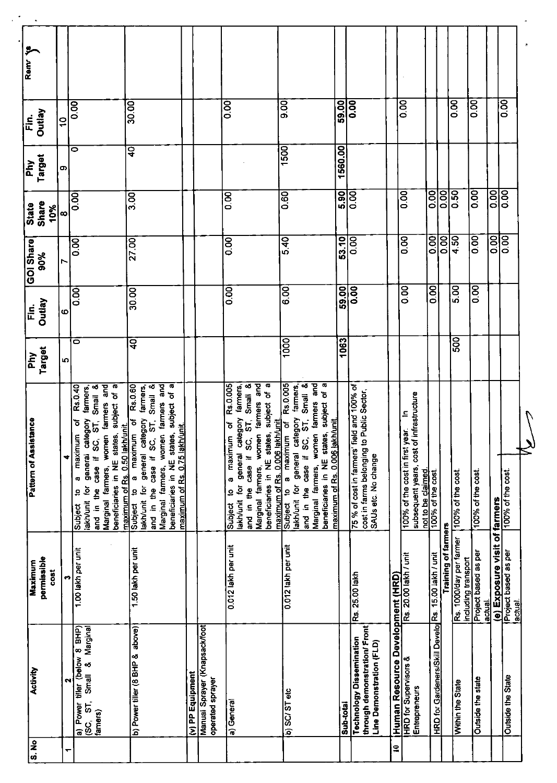| Ramr <sub>Y</sub>          |                            |                       |                                                                                                                                                                                                                                                                          |                                                                                                                                                                                                                                                                                                                        |                  |                                                   |                                                                                                                                                                                                                                                                   |                                                                                                                                                                                                                                                                                   |           |                                                                                                                   |                                 |                                                                                                                 |                                                      |                            |                                                |                                |                               |                                 |  |
|----------------------------|----------------------------|-----------------------|--------------------------------------------------------------------------------------------------------------------------------------------------------------------------------------------------------------------------------------------------------------------------|------------------------------------------------------------------------------------------------------------------------------------------------------------------------------------------------------------------------------------------------------------------------------------------------------------------------|------------------|---------------------------------------------------|-------------------------------------------------------------------------------------------------------------------------------------------------------------------------------------------------------------------------------------------------------------------|-----------------------------------------------------------------------------------------------------------------------------------------------------------------------------------------------------------------------------------------------------------------------------------|-----------|-------------------------------------------------------------------------------------------------------------------|---------------------------------|-----------------------------------------------------------------------------------------------------------------|------------------------------------------------------|----------------------------|------------------------------------------------|--------------------------------|-------------------------------|---------------------------------|--|
| $\tilde{\bar{\mathbb{E}}}$ | <b>Outlay</b>              | $\frac{1}{2}$         | 0.00                                                                                                                                                                                                                                                                     | 30.00                                                                                                                                                                                                                                                                                                                  |                  |                                                   | 0.00                                                                                                                                                                                                                                                              | 9.00                                                                                                                                                                                                                                                                              | 59.00     | 0.00                                                                                                              |                                 | $\overline{0}$                                                                                                  |                                                      |                            | $\overline{8}$                                 | 0.00                           |                               | 0.00                            |  |
| $\overline{\mathsf{P}}$    | Target                     | œ                     | $\overline{\bullet}$                                                                                                                                                                                                                                                     | $\overline{q}$                                                                                                                                                                                                                                                                                                         |                  |                                                   |                                                                                                                                                                                                                                                                   | 1500                                                                                                                                                                                                                                                                              | 1560.00   |                                                                                                                   |                                 |                                                                                                                 |                                                      |                            |                                                |                                |                               |                                 |  |
| <b>State</b>               | Share<br>10%               | $\infty$              | $\overline{0.00}$                                                                                                                                                                                                                                                        | 3.00                                                                                                                                                                                                                                                                                                                   |                  |                                                   | $\overline{0.00}$                                                                                                                                                                                                                                                 | 0.60                                                                                                                                                                                                                                                                              | 5.90      | 0.00                                                                                                              |                                 | $\overline{0.00}$                                                                                               | ioo<br>o                                             | 00.0                       | 0.50                                           | O.OO                           | $\overline{5}$                | $\overline{00}$                 |  |
| GOI Share                  | 90%                        |                       | 0.00                                                                                                                                                                                                                                                                     | 27.00                                                                                                                                                                                                                                                                                                                  |                  |                                                   | 0.00                                                                                                                                                                                                                                                              | 5.40                                                                                                                                                                                                                                                                              | 53.10     | $\overline{0.00}$                                                                                                 |                                 | 0.00                                                                                                            | $\overline{0.00}$                                    | $\overline{0.00}$          | 4.50                                           | 0.00                           | 0.00                          | $\overline{0.00}$               |  |
| <u>ក្ដុំ</u>               | <b>Outlay</b>              | $\boldsymbol{\omega}$ | $\overline{0.00}$                                                                                                                                                                                                                                                        | 30.00                                                                                                                                                                                                                                                                                                                  |                  |                                                   | $\overline{0}$                                                                                                                                                                                                                                                    | 6.00                                                                                                                                                                                                                                                                              | 59.00     | $\overline{0.00}$                                                                                                 |                                 | 8<br>oo                                                                                                         | $\overline{0.00}$                                    |                            | $\frac{8}{5}$                                  | 0.00                           |                               |                                 |  |
| $\frac{M}{10}$             | Target                     | Ю                     | 0                                                                                                                                                                                                                                                                        | $\mathbf{a}$                                                                                                                                                                                                                                                                                                           |                  |                                                   |                                                                                                                                                                                                                                                                   | 1000                                                                                                                                                                                                                                                                              | 1063      |                                                                                                                   |                                 |                                                                                                                 |                                                      |                            | 500                                            |                                |                               |                                 |  |
| tance<br>Pattern of Assist |                            | ₹                     | Marginal farmers, women farmers and<br>beneficiaries in NE states, subject of a<br>Rs.0.40<br>ST, Small &<br>farmers<br>general category<br>৳<br>maximum of Rs. 0.50 lakh/unit.<br>maximum<br>case if SC,<br>G,<br>$\tilde{\mathbf{e}}$<br>and in the<br>ខ្<br>lakh/unit | and<br>Rs.0.60<br>subject of a<br>Small <sub>&amp;</sub><br>farmers<br>women farmers<br>general category<br>case if SC, ST,<br>$\sigma$<br><u>unit</u><br>a maximum<br>beneficiaries in NE states,<br>maximum of Rs. 0.75 lakh/<br>and in the case if<br>Marginal farmers,<br>lakh/unit for<br>$\mathbf{Q}$<br>Subject |                  |                                                   | and<br>ST, Small &<br>subject of a<br>Rs.0.005<br>farmers<br>Marginal farmers, women farmers<br>general category<br>maximum of Rs. 0.006 lakh/unit<br>ō<br>beneficiaries in NE states,<br>a maximum<br>and in the case if SC,<br>$\overline{9}$<br>9<br>lakh/unit | Rs.0.005<br>ST, Small &<br>and<br>G<br>ø<br>farmers,<br>subject of<br>tarmers<br>general category<br>maximum of Rs. 0.006 lakh/unit.<br>đ<br>beneficiaries in NE states,<br>women<br>a maximum<br>ပ္တ<br>and in the case if<br>Marginal tarmers,<br>lakh/unit for<br>9<br>Subject |           | 75 % of cost in farmers' field and 100% of<br>Public Sector,<br>cost in farms belonging to<br>SAUs etc. No change |                                 | infrastructure<br>$\equiv$<br>100% of the cost in first year.<br>subsequent years, cost of<br>not to be claimed | 100% of the cost.                                    |                            | 100% of the cost.                              | 100% of the cost.              |                               | 100% of the cost.               |  |
| Maximum                    | permissible<br><b>COST</b> | m                     | Subject<br>1.00 lakh per unit                                                                                                                                                                                                                                            | 1.50 lakh per unit                                                                                                                                                                                                                                                                                                     |                  |                                                   | Subject<br>0.012 lakh per unit                                                                                                                                                                                                                                    | 0.012 lakh per unit                                                                                                                                                                                                                                                               |           | Rs. 25.00 lakh                                                                                                    |                                 | Rs. 20.00 lakh / unit                                                                                           |                                                      | <b>Training of farmers</b> | Rs. 1000/day per farmer<br>including transport | Project based as per<br>actual | (e) Exposure visit of farmers | Project based as per<br>actual. |  |
| Activity                   |                            | ત્ય                   | a) Power tiller (below 8 BHP)<br>Marginal<br>ø<br>Small<br><b>δ</b><br>famers)<br>ပ္လ                                                                                                                                                                                    | b) Power tiller (8 BHP & above)                                                                                                                                                                                                                                                                                        | (v) PP Equipment | Manual Sprayer (Knapsack/foot<br>operated sprayer | a) General                                                                                                                                                                                                                                                        | b) SC/STetc                                                                                                                                                                                                                                                                       | Sub-total | through demonstration/ Front<br><b>Technology Dissemination</b><br>Line Demonstration (FLD)                       | Human Resource Development (HRD | <b>HRD</b> for Supervisors &<br>Entrepreneurs                                                                   | HRD for Gardeners/Skill Develo Rs. 15.00 lakh / unit |                            | Within the State                               | Outside the state              |                               | Outside the State               |  |
| $\frac{1}{3}$              |                            | ↽                     |                                                                                                                                                                                                                                                                          |                                                                                                                                                                                                                                                                                                                        |                  |                                                   |                                                                                                                                                                                                                                                                   |                                                                                                                                                                                                                                                                                   |           |                                                                                                                   | $\mathbf{R}$                    |                                                                                                                 |                                                      |                            |                                                |                                |                               |                                 |  |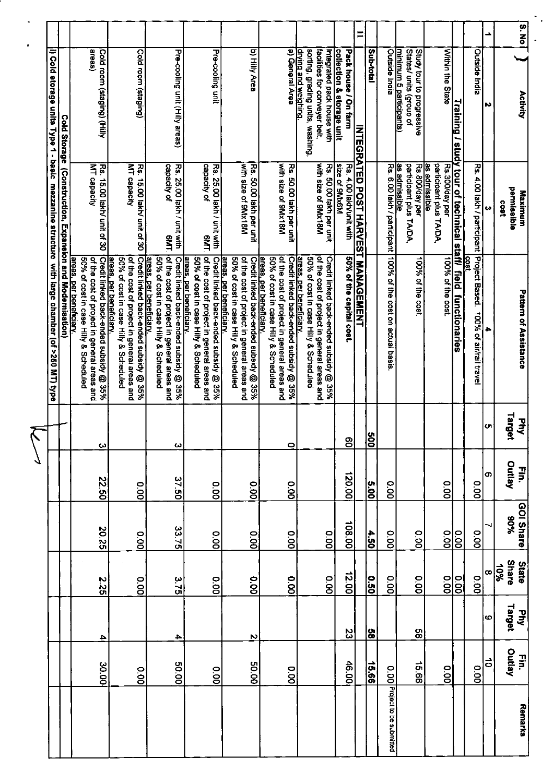| 22.50<br>20.25                       | 225                    |        |
|--------------------------------------|------------------------|--------|
| 00.00<br>0.00                        | 0.00                   |        |
| 37.50<br>33.75                       | 3.75                   |        |
| 0.00<br>o.oo                         | o.oo                   |        |
| 00.0<br>0.00                         | o.oo                   |        |
| 0.00<br>00.00                        | 0.00                   |        |
| 0.00                                 | o.oo                   |        |
| 120.00<br>108.00                     | 12.00                  | 23     |
| $\frac{5.00}{5}$<br>$\frac{4.50}{3}$ | $\overline{0.50}$      | ဗွ     |
| 0.00<br>00.00                        | 0.00                   |        |
| 0.00                                 | 0.00                   | 98     |
| O.O<br>o.oo                          | oo<br>S                |        |
| $\overline{0.00}$                    | $\frac{1}{100}$        |        |
| o.oo<br>O.OO                         | 0.00                   |        |
|                                      | $\infty$               | O      |
| Outlay<br>%06                        | <b>Share</b><br>$-6\%$ | Target |
| $\vec{r}$<br>GOI Share               | <b>State</b>           | Phy    |

 $\sqrt{2}$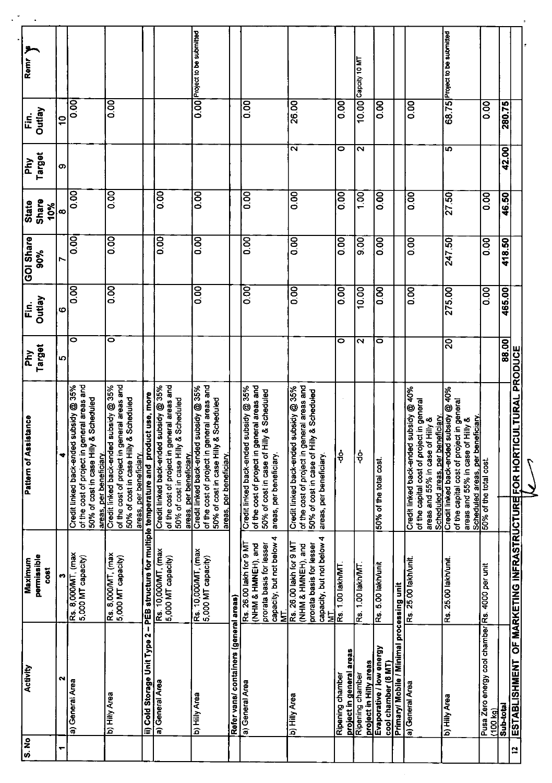| معر<br>Remr                  |                              |               |                                                                                                                                                           |                                                                                                                                                           |                                                                                             |                                                                                                                                                           | 0.00 <sup></sup> Project to be submitted                                                                                                                     |                                        |                                                                                                                                                                      |                                                                                                                                                                 |                                              | Capcity 10 MT                              |                                                 |                                           |                                                                                                                                                              | 68.75 Project to be submitted                                                                                                                                             |                                                             |           |                                                       |  |
|------------------------------|------------------------------|---------------|-----------------------------------------------------------------------------------------------------------------------------------------------------------|-----------------------------------------------------------------------------------------------------------------------------------------------------------|---------------------------------------------------------------------------------------------|-----------------------------------------------------------------------------------------------------------------------------------------------------------|--------------------------------------------------------------------------------------------------------------------------------------------------------------|----------------------------------------|----------------------------------------------------------------------------------------------------------------------------------------------------------------------|-----------------------------------------------------------------------------------------------------------------------------------------------------------------|----------------------------------------------|--------------------------------------------|-------------------------------------------------|-------------------------------------------|--------------------------------------------------------------------------------------------------------------------------------------------------------------|---------------------------------------------------------------------------------------------------------------------------------------------------------------------------|-------------------------------------------------------------|-----------|-------------------------------------------------------|--|
| Fin.                         | Outlay                       | $\frac{1}{2}$ | 0.00                                                                                                                                                      | $\overline{0.00}$                                                                                                                                         |                                                                                             |                                                                                                                                                           |                                                                                                                                                              |                                        | $\overline{0.00}$                                                                                                                                                    | 26.00                                                                                                                                                           | $\overline{0}$                               | 10.00                                      | 0.00                                            |                                           | 0.00                                                                                                                                                         |                                                                                                                                                                           | 0.00                                                        | 280.75    |                                                       |  |
| $\overline{H}$               | Target                       | თ             |                                                                                                                                                           |                                                                                                                                                           |                                                                                             |                                                                                                                                                           |                                                                                                                                                              |                                        |                                                                                                                                                                      | $\sim$                                                                                                                                                          | 0                                            | $\sim$                                     |                                                 |                                           |                                                                                                                                                              | 5                                                                                                                                                                         |                                                             | 42.00     |                                                       |  |
| <b>State</b>                 | Share<br>10%                 | œ             | 0.00                                                                                                                                                      | 0.00                                                                                                                                                      |                                                                                             | 0.00                                                                                                                                                      | 0.00                                                                                                                                                         |                                        | 0.00                                                                                                                                                                 | 0.00                                                                                                                                                            | $\overline{0.00}$                            | $\overline{10}$                            | $\overline{0}$                                  |                                           | $\overline{5}$                                                                                                                                               | 2750                                                                                                                                                                      | $\overline{\text{SO}}$                                      | 46.50     |                                                       |  |
| GOI Share                    | 90%                          | r             | 0.00                                                                                                                                                      | 0.00                                                                                                                                                      |                                                                                             | 0.00                                                                                                                                                      | 0.00                                                                                                                                                         |                                        | 0.00                                                                                                                                                                 | 8.00                                                                                                                                                            | 800                                          | $\frac{8}{9}$                              | 0.00                                            |                                           | 0.00                                                                                                                                                         | 24750                                                                                                                                                                     | 0.00                                                        | 418.50    |                                                       |  |
| Fin.                         | <b>Outlay</b>                | စ             | 0.00                                                                                                                                                      | 0.00                                                                                                                                                      |                                                                                             |                                                                                                                                                           | 0.00                                                                                                                                                         |                                        | 0.00                                                                                                                                                                 | 0.00                                                                                                                                                            | $\overline{\text{SO}}$                       | 10.00                                      | 0.00                                            |                                           | 0.00                                                                                                                                                         | 275.00                                                                                                                                                                    | 0.00                                                        | 465.00    |                                                       |  |
| $\overline{\mathsf{p}}$      | Target                       | Ю             | ۰                                                                                                                                                         | 0                                                                                                                                                         |                                                                                             |                                                                                                                                                           |                                                                                                                                                              |                                        |                                                                                                                                                                      |                                                                                                                                                                 | 0                                            | $\mathbf{\sim}$                            | 0                                               |                                           |                                                                                                                                                              | $\Omega$                                                                                                                                                                  |                                                             | 88.00     |                                                       |  |
| <b>Pattern of Assistance</b> |                              | ₹             | Credit linked back-ended subsidy @ 35%<br>of the cost of project in general areas and<br>50% of cost in case Hilly & Scheduled<br>areas, per beneficiary. | Credit linked back-ended subsidy @ 35%<br>of the cost of project in general areas and<br>50% of cost in case Hilly & Scheduled<br>areas, per beneficiary. | ii) Cold Storage Unit Type 2 - PEB structure for multiple temperature and product use, more | Credit linked back-ended subsidy @ 35%<br>of the cost of project in general areas and<br>50% of cost in case Hilly & Scheduled<br>areas, per beneficiary. | of the cost of project in general areas and<br>Credit linked back-ended subsidy @ 35%<br>Scheduled<br>50% of cost in case Hilly &<br>areas, per beneficiary. |                                        | of the cost of project in general areas and<br>ubsidy @ 35%<br>& Scheduled<br>50% of cost in case of Hilly<br>Credit linked back-ended sr<br>areas, per beneficiary. | of the cost of project in general areas and<br>Credit linked back-ended subsidy @ 35%<br>& Scheduled<br>50% of cost in case of Hilly<br>areas, per beneficiary. | နှံ                                          | ခဲ့                                        | 50% of the total cost.                          |                                           | Credit linked back-ended subsidy @ 40%<br>of the capital cost of project in general<br>Scheduled areas, per beneficiary.<br>areas and 55% in case of Hilly & | Credit linked back-ended subsidy @ 40%<br>of the capital cost of project in general<br>areas and 55% in case of Hilly &<br><u>Teici</u><br>of the capital cost of project | Scheduled areas, per benef<br>50% of the total cost.        |           | OF MARKETING INFRASTRUCTURE FOR HORTICULTURAL PRODUCE |  |
| Maximum                      | permissible<br>$\frac{1}{2}$ | m             | Rs. 8,000MT, (max<br>5,000 MT capacity)                                                                                                                   | Rs. 8,000MT, (max<br>5,000 MT capacity)                                                                                                                   |                                                                                             | Rs. 10,000MT, (max<br>5,000 MT capacity)                                                                                                                  | Rs. 10,000MT, (max<br>5,000 MT сарасіty)                                                                                                                     |                                        | capacity, but not below 4<br>prorata basis for lesser<br>Rs. 26.00 lakh for 9 MT<br>(NHM & HMNEH), and<br>Ę                                                          | capacity, but not below 4<br>Rs. 26.00 lakh for 9 MT<br>prorata basis for lesser<br>(NHM & HMNEH), and<br>₹                                                     | Rs. 1.00 lakh/MT.                            | Rs. 1.00 lakh/MT.                          | Rs. 5.00 lakh/unit                              |                                           | Rs. 25.00 lakh/unit.                                                                                                                                         | Rs. 25.00 lakh/unit                                                                                                                                                       |                                                             |           |                                                       |  |
| Activity                     |                              | N             | a) General Area                                                                                                                                           | b) Hilly Area                                                                                                                                             |                                                                                             | a) General Area                                                                                                                                           | b) Hilly Area                                                                                                                                                | Refer vans/ containers (general areas) | a) General Area                                                                                                                                                      | b) Hilly Area                                                                                                                                                   | project in general areas<br>Ripening chamber | project in Hilly areas<br>Ripening chamber | Evaporative / low energy<br>cool chamber (8 MT) | Primary/ Mobile / Minimal processing unit | a) General Area                                                                                                                                              | eəry AliH (q                                                                                                                                                              | Pusa Zero energy cool chamber Rs. 4000 per unit<br>(100 kg) | Sub-total | <b>ESTABLISHMENT</b>                                  |  |
| $rac{1}{3}$                  |                              | ↽             |                                                                                                                                                           |                                                                                                                                                           |                                                                                             |                                                                                                                                                           |                                                                                                                                                              |                                        |                                                                                                                                                                      |                                                                                                                                                                 |                                              |                                            |                                                 |                                           |                                                                                                                                                              |                                                                                                                                                                           |                                                             |           | 12                                                    |  |